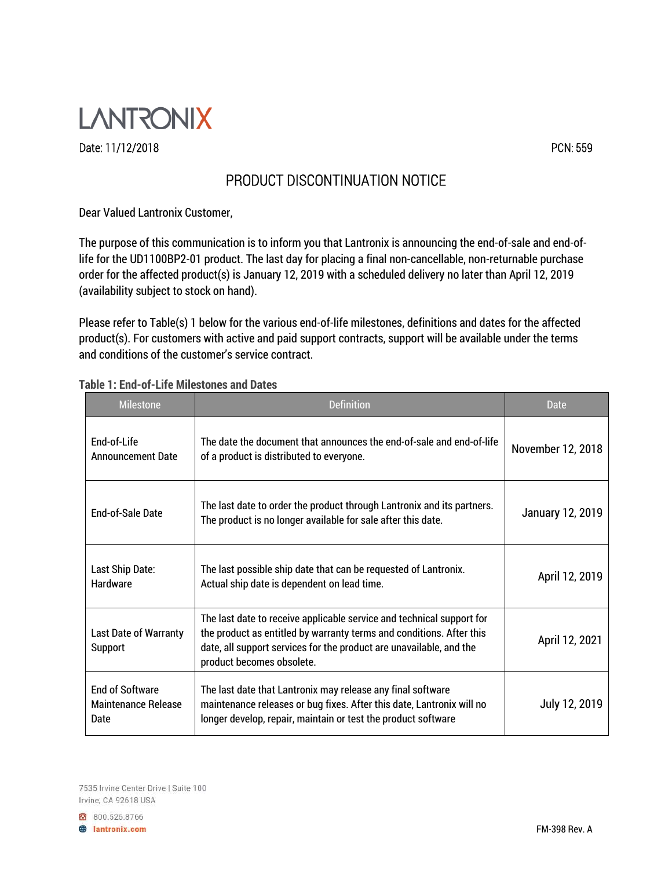

Date: 11/12/2018 PCN: 559

## PRODUCT DISCONTINUATION NOTICE

Dear Valued Lantronix Customer,

The purpose of this communication is to inform you that Lantronix is announcing the end-of-sale and end-oflife for the UD1100BP2-01 product. The last day for placing a final non-cancellable, non-returnable purchase order for the affected product(s) is January 12, 2019 with a scheduled delivery no later than April 12, 2019 (availability subject to stock on hand).

Please refer to Table(s) 1 below for the various end-of-life milestones, definitions and dates for the affected product(s). For customers with active and paid support contracts, support will be available under the terms and conditions of the customer's service contract.

| <b>Milestone</b>                                      | Definition                                                                                                                                                                                                                                        | Date                    |
|-------------------------------------------------------|---------------------------------------------------------------------------------------------------------------------------------------------------------------------------------------------------------------------------------------------------|-------------------------|
| End-of-Life<br><b>Announcement Date</b>               | The date the document that announces the end-of-sale and end-of-life<br>of a product is distributed to everyone.                                                                                                                                  | November 12, 2018       |
| <b>Fnd-of-Sale Date</b>                               | The last date to order the product through Lantronix and its partners.<br>The product is no longer available for sale after this date.                                                                                                            | <b>January 12, 2019</b> |
| Last Ship Date:<br><b>Hardware</b>                    | The last possible ship date that can be requested of Lantronix.<br>Actual ship date is dependent on lead time.                                                                                                                                    | April 12, 2019          |
| <b>Last Date of Warranty</b><br>Support               | The last date to receive applicable service and technical support for<br>the product as entitled by warranty terms and conditions. After this<br>date, all support services for the product are unavailable, and the<br>product becomes obsolete. | April 12, 2021          |
| <b>End of Software</b><br>Maintenance Release<br>Date | The last date that Lantronix may release any final software<br>maintenance releases or bug fixes. After this date, Lantronix will no<br>longer develop, repair, maintain or test the product software                                             | July 12, 2019           |

## **Table 1: End-of-Life Milestones and Dates**

7535 Irvine Center Drive | Suite 100 Irvine, CA 92618 USA

800.526.8766 **A** lantronix.com